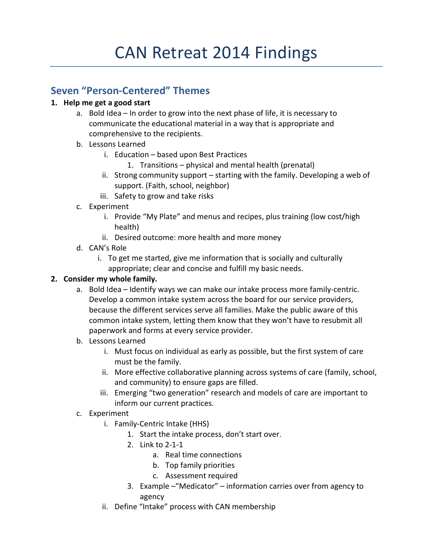# **Seven "Person-Centered" Themes**

## **1. Help me get a good start**

- a. Bold Idea In order to grow into the next phase of life, it is necessary to communicate the educational material in a way that is appropriate and comprehensive to the recipients.
- b. Lessons Learned
	- i. Education based upon Best Practices
		- 1. Transitions physical and mental health (prenatal)
	- ii. Strong community support starting with the family. Developing a web of support. (Faith, school, neighbor)
	- iii. Safety to grow and take risks
- c. Experiment
	- i. Provide "My Plate" and menus and recipes, plus training (low cost/high health)
	- ii. Desired outcome: more health and more money
- d. CAN's Role
	- i. To get me started, give me information that is socially and culturally appropriate; clear and concise and fulfill my basic needs.

## **2. Consider my whole family.**

- a. Bold Idea Identify ways we can make our intake process more family-centric. Develop a common intake system across the board for our service providers, because the different services serve all families. Make the public aware of this common intake system, letting them know that they won't have to resubmit all paperwork and forms at every service provider.
- b. Lessons Learned
	- i. Must focus on individual as early as possible, but the first system of care must be the family.
	- ii. More effective collaborative planning across systems of care (family, school, and community) to ensure gaps are filled.
	- iii. Emerging "two generation" research and models of care are important to inform our current practices.
- c. Experiment
	- i. Family-Centric Intake (HHS)
		- 1. Start the intake process, don't start over.
		- 2. Link to 2-1-1
			- a. Real time connections
			- b. Top family priorities
			- c. Assessment required
		- 3. Example –"Medicator" information carries over from agency to agency
	- ii. Define "Intake" process with CAN membership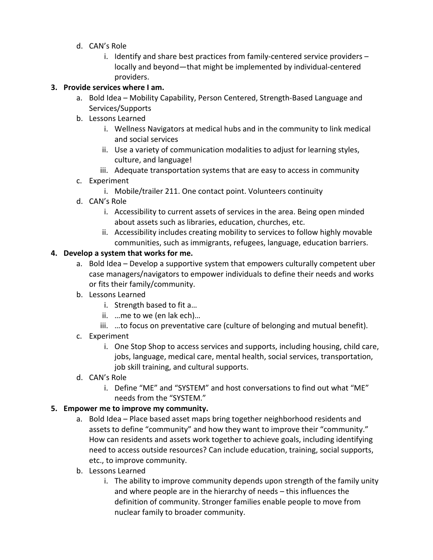- d. CAN's Role
	- i. Identify and share best practices from family-centered service providers locally and beyond—that might be implemented by individual-centered providers.

### **3. Provide services where I am.**

- a. Bold Idea Mobility Capability, Person Centered, Strength-Based Language and Services/Supports
- b. Lessons Learned
	- i. Wellness Navigators at medical hubs and in the community to link medical and social services
	- ii. Use a variety of communication modalities to adjust for learning styles, culture, and language!
	- iii. Adequate transportation systems that are easy to access in community
- c. Experiment
	- i. Mobile/trailer 211. One contact point. Volunteers continuity
- d. CAN's Role
	- i. Accessibility to current assets of services in the area. Being open minded about assets such as libraries, education, churches, etc.
	- ii. Accessibility includes creating mobility to services to follow highly movable communities, such as immigrants, refugees, language, education barriers.

#### **4. Develop a system that works for me.**

- a. Bold Idea Develop a supportive system that empowers culturally competent uber case managers/navigators to empower individuals to define their needs and works or fits their family/community.
- b. Lessons Learned
	- i. Strength based to fit a…
	- ii. …me to we (en lak ech)…
	- iii. …to focus on preventative care (culture of belonging and mutual benefit).
- c. Experiment
	- i. One Stop Shop to access services and supports, including housing, child care, jobs, language, medical care, mental health, social services, transportation, job skill training, and cultural supports.
- d. CAN's Role
	- i. Define "ME" and "SYSTEM" and host conversations to find out what "ME" needs from the "SYSTEM."

#### **5. Empower me to improve my community.**

- a. Bold Idea Place based asset maps bring together neighborhood residents and assets to define "community" and how they want to improve their "community." How can residents and assets work together to achieve goals, including identifying need to access outside resources? Can include education, training, social supports, etc., to improve community.
- b. Lessons Learned
	- i. The ability to improve community depends upon strength of the family unity and where people are in the hierarchy of needs – this influences the definition of community. Stronger families enable people to move from nuclear family to broader community.